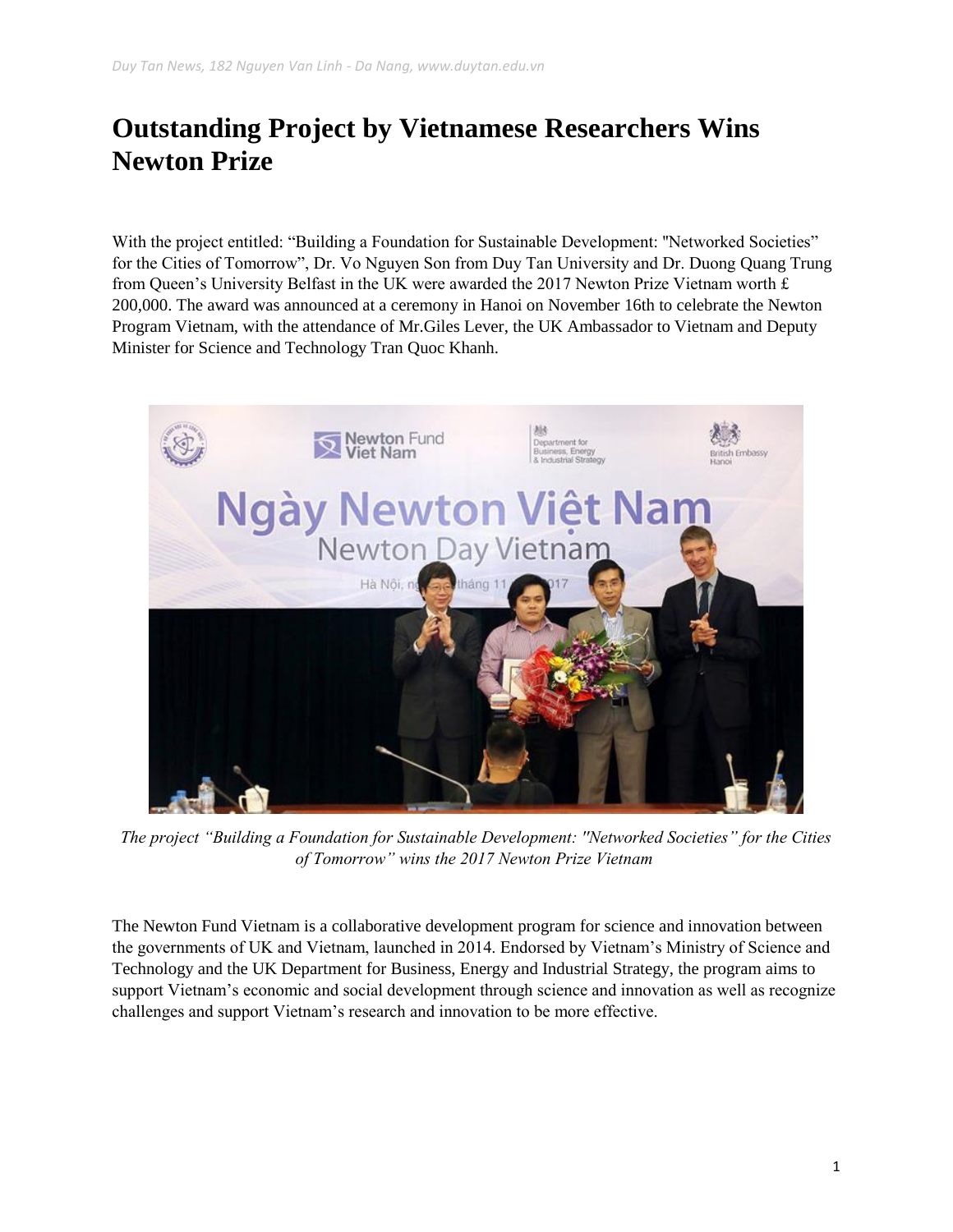## **Outstanding Project by Vietnamese Researchers Wins Newton Prize**

With the project entitled: "Building a Foundation for Sustainable Development: "Networked Societies" for the Cities of Tomorrow", Dr. Vo Nguyen Son from Duy Tan University and Dr. Duong Quang Trung from Queen's University Belfast in the UK were awarded the 2017 Newton Prize Vietnam worth  $\pounds$ 200,000. The award was announced at a ceremony in Hanoi on November 16th to celebrate the Newton Program Vietnam, with the attendance of Mr.Giles Lever, the UK Ambassador to Vietnam and Deputy Minister for Science and Technology Tran Quoc Khanh.



*The project "Building a Foundation for Sustainable Development: ''Networked Societies" for the Cities of Tomorrow" wins the 2017 Newton Prize Vietnam*

The Newton Fund Vietnam is a collaborative development program for science and innovation between the governments of UK and Vietnam, launched in 2014. Endorsed by Vietnam's Ministry of Science and Technology and the UK Department for Business, Energy and Industrial Strategy, the program aims to support Vietnam's economic and social development through science and innovation as well as recognize challenges and support Vietnam's research and innovation to be more effective.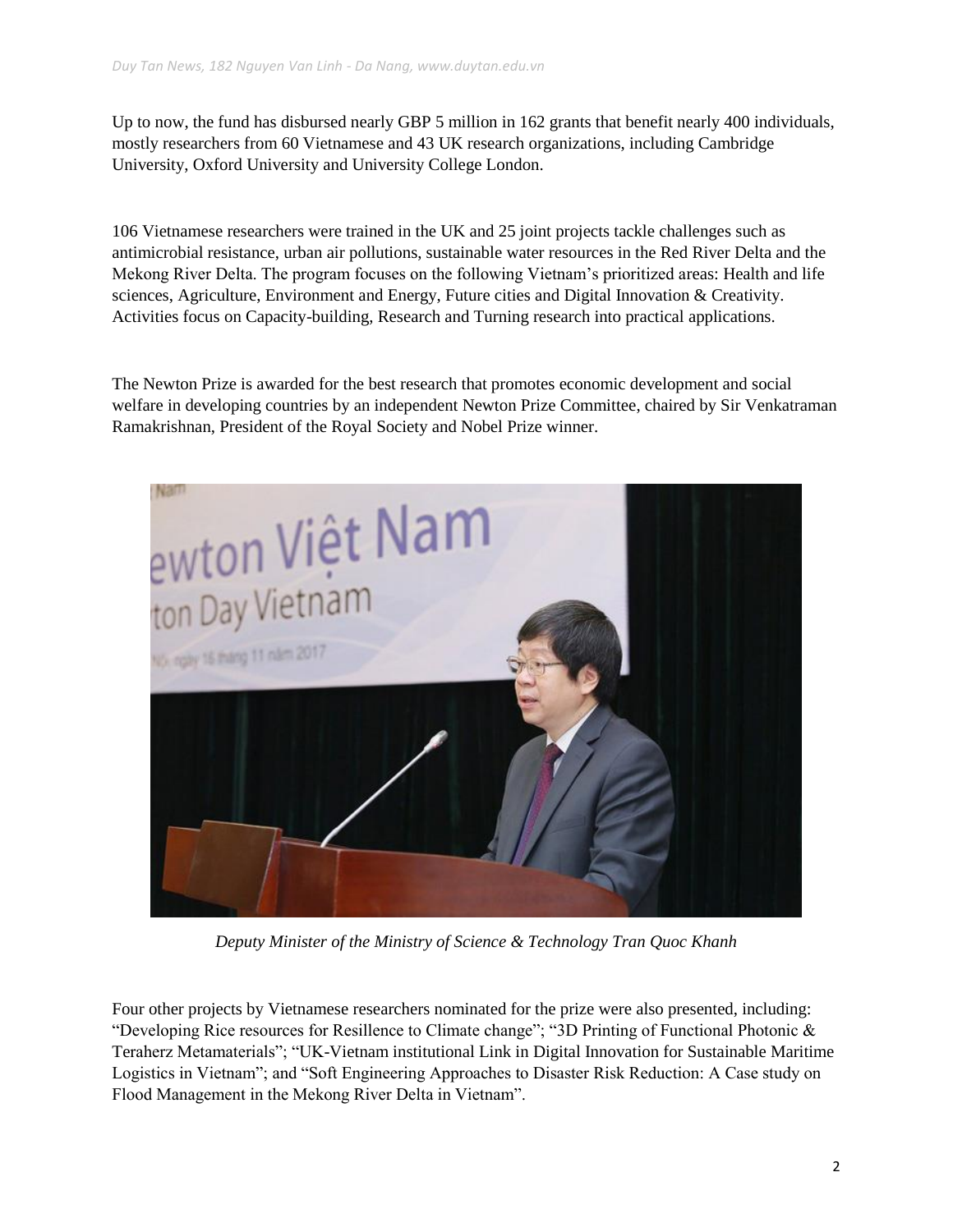Up to now, the fund has disbursed nearly GBP 5 million in 162 grants that benefit nearly 400 individuals, mostly researchers from 60 Vietnamese and 43 UK research organizations, including Cambridge University, Oxford University and University College London.

106 Vietnamese researchers were trained in the UK and 25 joint projects tackle challenges such as antimicrobial resistance, urban air pollutions, sustainable water resources in the Red River Delta and the Mekong River Delta. The program focuses on the following Vietnam's prioritized areas: Health and life sciences, Agriculture, Environment and Energy, Future cities and Digital Innovation & Creativity. Activities focus on Capacity-building, Research and Turning research into practical applications.

The Newton Prize is awarded for the best research that promotes economic development and social welfare in developing countries by an independent Newton Prize Committee, chaired by Sir Venkatraman Ramakrishnan, President of the Royal Society and Nobel Prize winner.



*Deputy Minister of the Ministry of Science & Technology Tran Quoc Khanh*

Four other projects by Vietnamese researchers nominated for the prize were also presented, including: "Developing Rice resources for Resillence to Climate change"; "3D Printing of Functional Photonic & Teraherz Metamaterials"; "UK-Vietnam institutional Link in Digital Innovation for Sustainable Maritime Logistics in Vietnam"; and "Soft Engineering Approaches to Disaster Risk Reduction: A Case study on Flood Management in the Mekong River Delta in Vietnam".